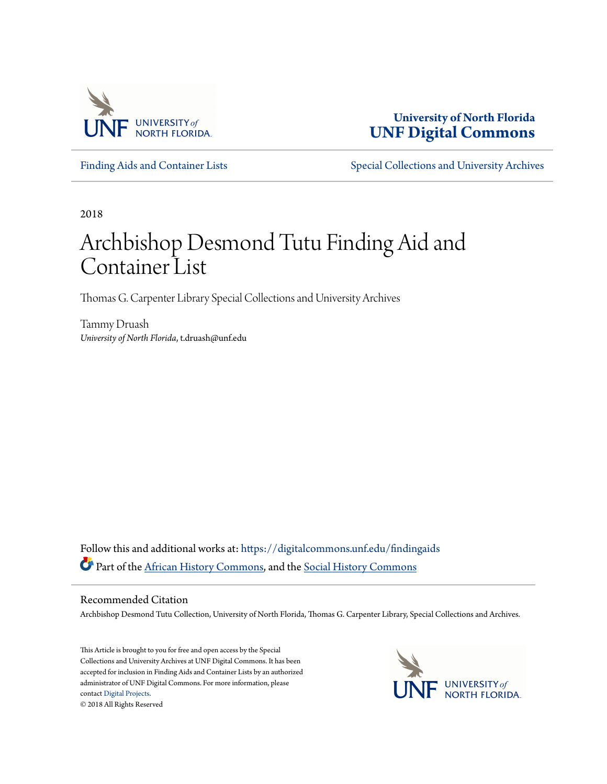

**University of North Florida [UNF Digital Commons](https://digitalcommons.unf.edu?utm_source=digitalcommons.unf.edu%2Ffindingaids%2F10&utm_medium=PDF&utm_campaign=PDFCoverPages)**

[Finding Aids and Container Lists](https://digitalcommons.unf.edu/findingaids?utm_source=digitalcommons.unf.edu%2Ffindingaids%2F10&utm_medium=PDF&utm_campaign=PDFCoverPages) [Special Collections and University Archives](https://digitalcommons.unf.edu/spec_coll?utm_source=digitalcommons.unf.edu%2Ffindingaids%2F10&utm_medium=PDF&utm_campaign=PDFCoverPages)

2018

# Archbishop Desmond Tutu Finding Aid and Container List

Thomas G. Carpenter Library Special Collections and University Archives

Tammy Druash *University of North Florida*, t.druash@unf.edu

Follow this and additional works at: [https://digitalcommons.unf.edu/findingaids](https://digitalcommons.unf.edu/findingaids?utm_source=digitalcommons.unf.edu%2Ffindingaids%2F10&utm_medium=PDF&utm_campaign=PDFCoverPages) Part of the [African History Commons,](http://network.bepress.com/hgg/discipline/490?utm_source=digitalcommons.unf.edu%2Ffindingaids%2F10&utm_medium=PDF&utm_campaign=PDFCoverPages) and the [Social History Commons](http://network.bepress.com/hgg/discipline/506?utm_source=digitalcommons.unf.edu%2Ffindingaids%2F10&utm_medium=PDF&utm_campaign=PDFCoverPages)

#### Recommended Citation

Archbishop Desmond Tutu Collection, University of North Florida, Thomas G. Carpenter Library, Special Collections and Archives.

This Article is brought to you for free and open access by the Special Collections and University Archives at UNF Digital Commons. It has been accepted for inclusion in Finding Aids and Container Lists by an authorized administrator of UNF Digital Commons. For more information, please contact [Digital Projects.](mailto:lib-digital@unf.edu) © 2018 All Rights Reserved

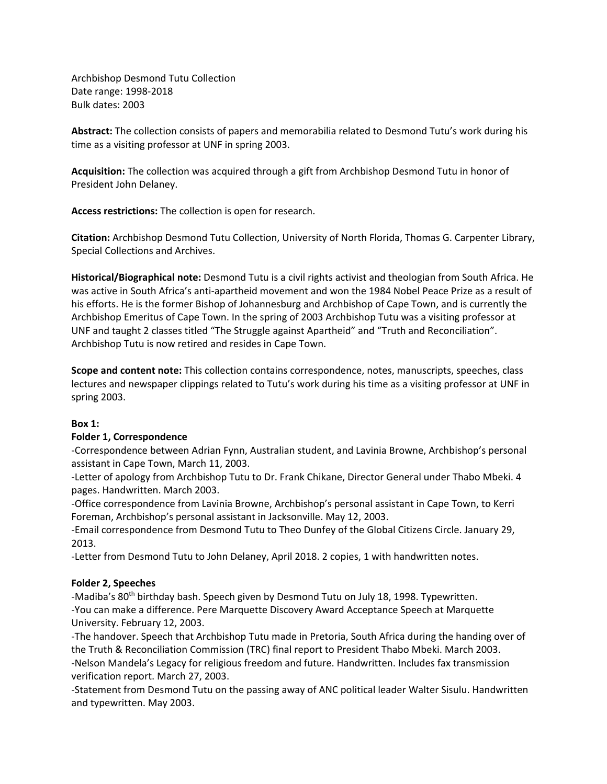Archbishop Desmond Tutu Collection Date range: 1998-2018 Bulk dates: 2003

**Abstract:** The collection consists of papers and memorabilia related to Desmond Tutu's work during his time as a visiting professor at UNF in spring 2003.

**Acquisition:** The collection was acquired through a gift from Archbishop Desmond Tutu in honor of President John Delaney.

**Access restrictions:** The collection is open for research.

**Citation:** Archbishop Desmond Tutu Collection, University of North Florida, Thomas G. Carpenter Library, Special Collections and Archives.

**Historical/Biographical note:** Desmond Tutu is a civil rights activist and theologian from South Africa. He was active in South Africa's anti-apartheid movement and won the 1984 Nobel Peace Prize as a result of his efforts. He is the former Bishop of Johannesburg and Archbishop of Cape Town, and is currently the Archbishop Emeritus of Cape Town. In the spring of 2003 Archbishop Tutu was a visiting professor at UNF and taught 2 classes titled "The Struggle against Apartheid" and "Truth and Reconciliation". Archbishop Tutu is now retired and resides in Cape Town.

**Scope and content note:** This collection contains correspondence, notes, manuscripts, speeches, class lectures and newspaper clippings related to Tutu's work during his time as a visiting professor at UNF in spring 2003.

## **Box 1:**

### **Folder 1, Correspondence**

-Correspondence between Adrian Fynn, Australian student, and Lavinia Browne, Archbishop's personal assistant in Cape Town, March 11, 2003.

-Letter of apology from Archbishop Tutu to Dr. Frank Chikane, Director General under Thabo Mbeki. 4 pages. Handwritten. March 2003.

-Office correspondence from Lavinia Browne, Archbishop's personal assistant in Cape Town, to Kerri Foreman, Archbishop's personal assistant in Jacksonville. May 12, 2003.

-Email correspondence from Desmond Tutu to Theo Dunfey of the Global Citizens Circle. January 29, 2013.

-Letter from Desmond Tutu to John Delaney, April 2018. 2 copies, 1 with handwritten notes.

### **Folder 2, Speeches**

-Madiba's 80<sup>th</sup> birthday bash. Speech given by Desmond Tutu on July 18, 1998. Typewritten. -You can make a difference. Pere Marquette Discovery Award Acceptance Speech at Marquette University. February 12, 2003.

-The handover. Speech that Archbishop Tutu made in Pretoria, South Africa during the handing over of the Truth & Reconciliation Commission (TRC) final report to President Thabo Mbeki. March 2003. -Nelson Mandela's Legacy for religious freedom and future. Handwritten. Includes fax transmission verification report. March 27, 2003.

-Statement from Desmond Tutu on the passing away of ANC political leader Walter Sisulu. Handwritten and typewritten. May 2003.